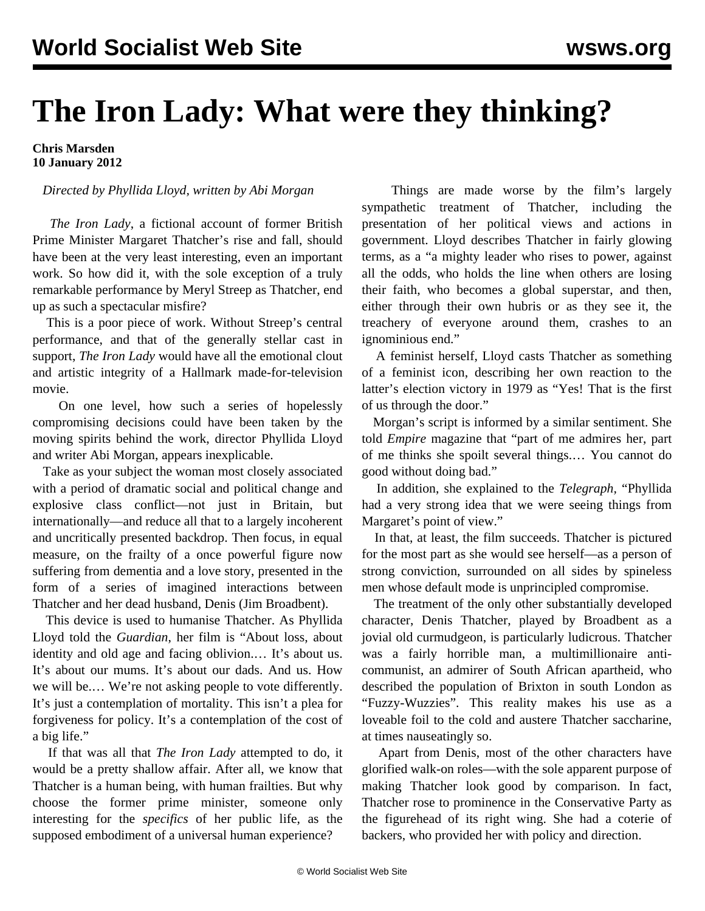## **The Iron Lady: What were they thinking?**

**Chris Marsden 10 January 2012**

## *Directed by Phyllida Lloyd, written by Abi Morgan*

 *The Iron Lady*, a fictional account of former British Prime Minister Margaret Thatcher's rise and fall, should have been at the very least interesting, even an important work. So how did it, with the sole exception of a truly remarkable performance by Meryl Streep as Thatcher, end up as such a spectacular misfire?

 This is a poor piece of work. Without Streep's central performance, and that of the generally stellar cast in support, *The Iron Lady* would have all the emotional clout and artistic integrity of a Hallmark made-for-television movie.

 On one level, how such a series of hopelessly compromising decisions could have been taken by the moving spirits behind the work, director Phyllida Lloyd and writer Abi Morgan, appears inexplicable.

 Take as your subject the woman most closely associated with a period of dramatic social and political change and explosive class conflict—not just in Britain, but internationally—and reduce all that to a largely incoherent and uncritically presented backdrop. Then focus, in equal measure, on the frailty of a once powerful figure now suffering from dementia and a love story, presented in the form of a series of imagined interactions between Thatcher and her dead husband, Denis (Jim Broadbent).

 This device is used to humanise Thatcher. As Phyllida Lloyd told the *Guardian*, her film is "About loss, about identity and old age and facing oblivion.… It's about us. It's about our mums. It's about our dads. And us. How we will be.… We're not asking people to vote differently. It's just a contemplation of mortality. This isn't a plea for forgiveness for policy. It's a contemplation of the cost of a big life."

 If that was all that *The Iron Lady* attempted to do, it would be a pretty shallow affair. After all, we know that Thatcher is a human being, with human frailties. But why choose the former prime minister, someone only interesting for the *specifics* of her public life, as the supposed embodiment of a universal human experience?

 Things are made worse by the film's largely sympathetic treatment of Thatcher, including the presentation of her political views and actions in government. Lloyd describes Thatcher in fairly glowing terms, as a "a mighty leader who rises to power, against all the odds, who holds the line when others are losing their faith, who becomes a global superstar, and then, either through their own hubris or as they see it, the treachery of everyone around them, crashes to an ignominious end."

 A feminist herself, Lloyd casts Thatcher as something of a feminist icon, describing her own reaction to the latter's election victory in 1979 as "Yes! That is the first of us through the door."

 Morgan's script is informed by a similar sentiment. She told *Empire* magazine that "part of me admires her, part of me thinks she spoilt several things.… You cannot do good without doing bad."

 In addition, she explained to the *Telegraph,* "Phyllida had a very strong idea that we were seeing things from Margaret's point of view."

 In that, at least, the film succeeds. Thatcher is pictured for the most part as she would see herself—as a person of strong conviction, surrounded on all sides by spineless men whose default mode is unprincipled compromise.

 The treatment of the only other substantially developed character, Denis Thatcher, played by Broadbent as a jovial old curmudgeon, is particularly ludicrous. Thatcher was a fairly horrible man, a multimillionaire anticommunist, an admirer of South African apartheid, who described the population of Brixton in south London as "Fuzzy-Wuzzies". This reality makes his use as a loveable foil to the cold and austere Thatcher saccharine, at times nauseatingly so.

 Apart from Denis, most of the other characters have glorified walk-on roles—with the sole apparent purpose of making Thatcher look good by comparison. In fact, Thatcher rose to prominence in the Conservative Party as the figurehead of its right wing. She had a coterie of backers, who provided her with policy and direction.